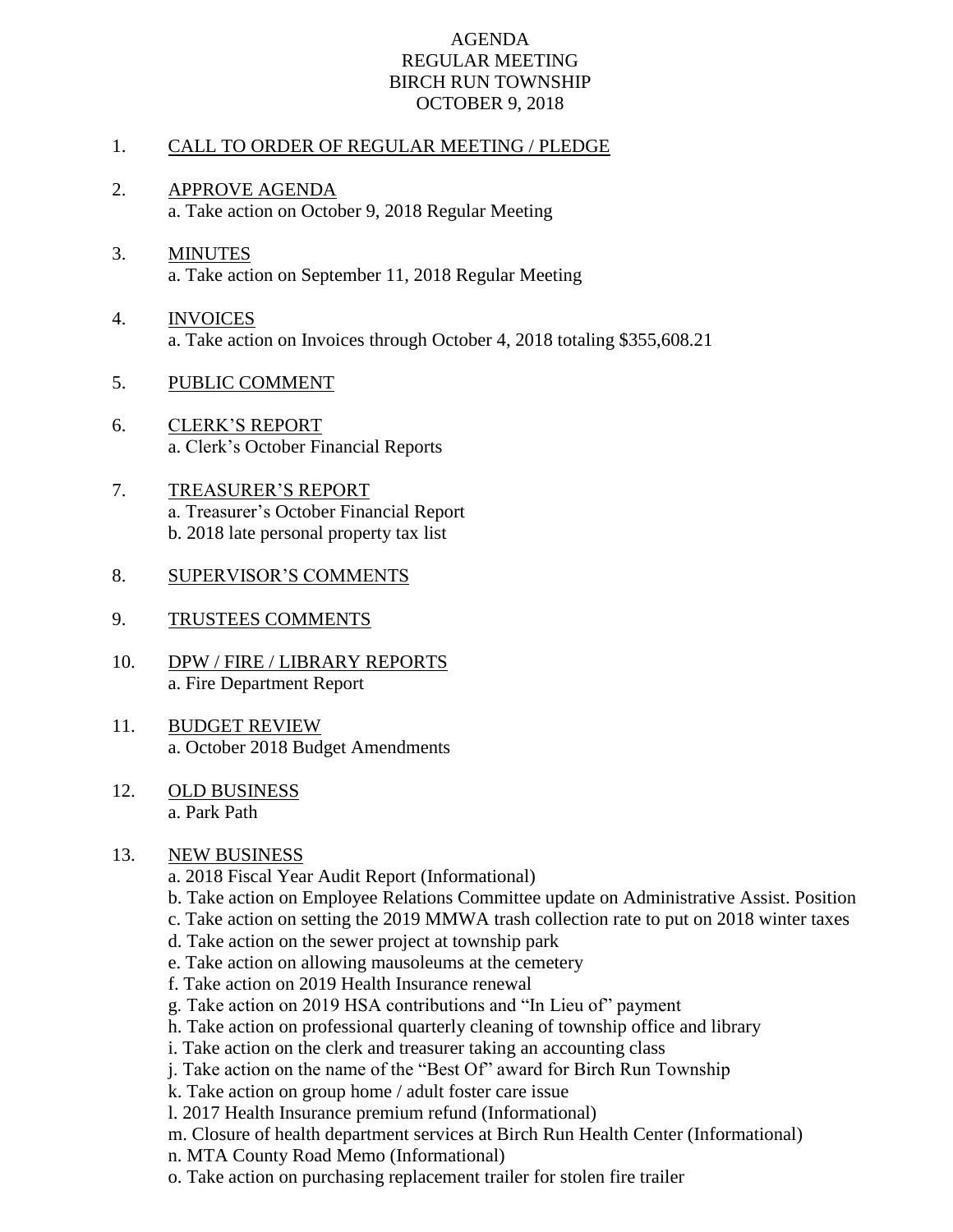## AGENDA REGULAR MEETING BIRCH RUN TOWNSHIP OCTOBER 9, 2018

## 1. CALL TO ORDER OF REGULAR MEETING / PLEDGE

- 2. APPROVE AGENDA a. Take action on October 9, 2018 Regular Meeting
- 3. MINUTES a. Take action on September 11, 2018 Regular Meeting
- 4. INVOICES a. Take action on Invoices through October 4, 2018 totaling \$355,608.21
- 5. PUBLIC COMMENT
- 6. CLERK'S REPORT a. Clerk's October Financial Reports
- 7. TREASURER'S REPORT a. Treasurer's October Financial Report b. 2018 late personal property tax list
- 8. SUPERVISOR'S COMMENTS
- 9. TRUSTEES COMMENTS
- 10. DPW / FIRE / LIBRARY REPORTS a. Fire Department Report
- 11. BUDGET REVIEW a. October 2018 Budget Amendments
- 12. OLD BUSINESS a. Park Path

## 13. NEW BUSINESS

- a. 2018 Fiscal Year Audit Report (Informational)
- b. Take action on Employee Relations Committee update on Administrative Assist. Position
- c. Take action on setting the 2019 MMWA trash collection rate to put on 2018 winter taxes
- d. Take action on the sewer project at township park
- e. Take action on allowing mausoleums at the cemetery
- f. Take action on 2019 Health Insurance renewal
- g. Take action on 2019 HSA contributions and "In Lieu of" payment
- h. Take action on professional quarterly cleaning of township office and library
- i. Take action on the clerk and treasurer taking an accounting class
- j. Take action on the name of the "Best Of" award for Birch Run Township
- k. Take action on group home / adult foster care issue
- l. 2017 Health Insurance premium refund (Informational)
- m. Closure of health department services at Birch Run Health Center (Informational)
- n. MTA County Road Memo (Informational)
- o. Take action on purchasing replacement trailer for stolen fire trailer